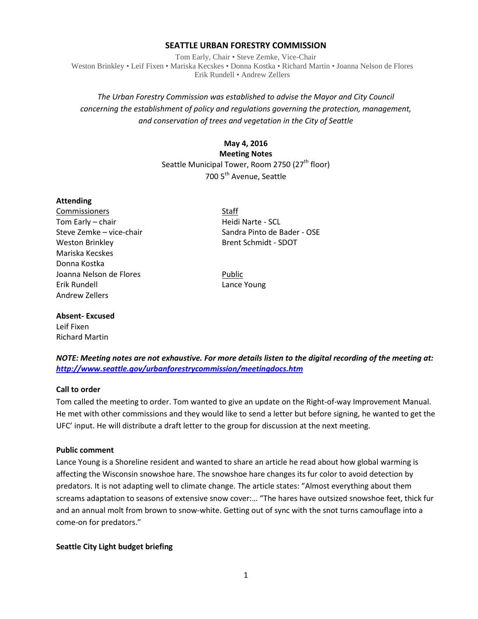#### **SEATTLE URBAN FORESTRY COMMISSION**

Tom Early, Chair • Steve Zemke, Vice-Chair Weston Brinkley • Leif Fixen • Mariska Kecskes • Donna Kostka • Richard Martin • Joanna Nelson de Flores Erik Rundell • Andrew Zellers

# *The Urban Forestry Commission was established to advise the Mayor and City Council concerning the establishment of policy and regulations governing the protection, management, and conservation of trees and vegetation in the City of Seattle*

## **May 4, 2016**

**Meeting Notes** Seattle Municipal Tower, Room 2750 (27<sup>th</sup> floor) 700 5<sup>th</sup> Avenue, Seattle

#### **Attending**

Commissioners Staff Tom Early – chair **Heidi Narte - SCL** Weston Brinkley **Brent Schmidt - SDOT** Mariska Kecskes Donna Kostka Joanna Nelson de Flores **Public** Erik Rundell Lance Young Andrew Zellers

Steve Zemke – vice-chair Sandra Pinto de Bader - OSE

#### **Absent- Excused** Leif Fixen

Richard Martin

*NOTE: Meeting notes are not exhaustive. For more details listen to the digital recording of the meeting at: <http://www.seattle.gov/urbanforestrycommission/meetingdocs.htm>*

#### **Call to order**

Tom called the meeting to order. Tom wanted to give an update on the Right-of-way Improvement Manual. He met with other commissions and they would like to send a letter but before signing, he wanted to get the UFC' input. He will distribute a draft letter to the group for discussion at the next meeting.

#### **Public comment**

Lance Young is a Shoreline resident and wanted to share an article he read about how global warming is affecting the Wisconsin snowshoe hare. The snowshoe hare changes its fur color to avoid detection by predators. It is not adapting well to climate change. The article states: "Almost everything about them screams adaptation to seasons of extensive snow cover:… "The hares have outsized snowshoe feet, thick fur and an annual molt from brown to snow-white. Getting out of sync with the snot turns camouflage into a come-on for predators."

#### **Seattle City Light budget briefing**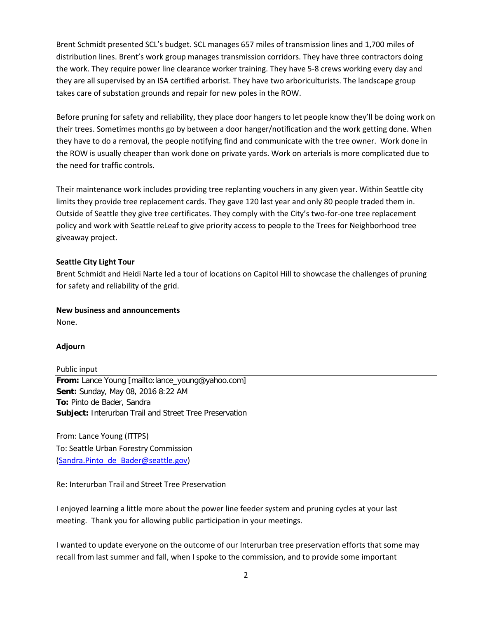Brent Schmidt presented SCL's budget. SCL manages 657 miles of transmission lines and 1,700 miles of distribution lines. Brent's work group manages transmission corridors. They have three contractors doing the work. They require power line clearance worker training. They have 5-8 crews working every day and they are all supervised by an ISA certified arborist. They have two arboriculturists. The landscape group takes care of substation grounds and repair for new poles in the ROW.

Before pruning for safety and reliability, they place door hangers to let people know they'll be doing work on their trees. Sometimes months go by between a door hanger/notification and the work getting done. When they have to do a removal, the people notifying find and communicate with the tree owner. Work done in the ROW is usually cheaper than work done on private yards. Work on arterials is more complicated due to the need for traffic controls.

Their maintenance work includes providing tree replanting vouchers in any given year. Within Seattle city limits they provide tree replacement cards. They gave 120 last year and only 80 people traded them in. Outside of Seattle they give tree certificates. They comply with the City's two-for-one tree replacement policy and work with Seattle reLeaf to give priority access to people to the Trees for Neighborhood tree giveaway project.

# **Seattle City Light Tour**

Brent Schmidt and Heidi Narte led a tour of locations on Capitol Hill to showcase the challenges of pruning for safety and reliability of the grid.

## **New business and announcements**

None.

#### **Adjourn**

Public input **From:** Lance Young [mailto:lance\_young@yahoo.com] **Sent:** Sunday, May 08, 2016 8:22 AM **To:** Pinto de Bader, Sandra **Subject:** Interurban Trail and Street Tree Preservation

From: Lance Young (ITTPS) To: Seattle Urban Forestry Commission [\(Sandra.Pinto\\_de\\_Bader@seattle.gov\)](mailto:Sandra.Pinto_de_Bader@seattle.gov)

Re: Interurban Trail and Street Tree Preservation

I enjoyed learning a little more about the power line feeder system and pruning cycles at your last meeting. Thank you for allowing public participation in your meetings.

I wanted to update everyone on the outcome of our Interurban tree preservation efforts that some may recall from last summer and fall, when I spoke to the commission, and to provide some important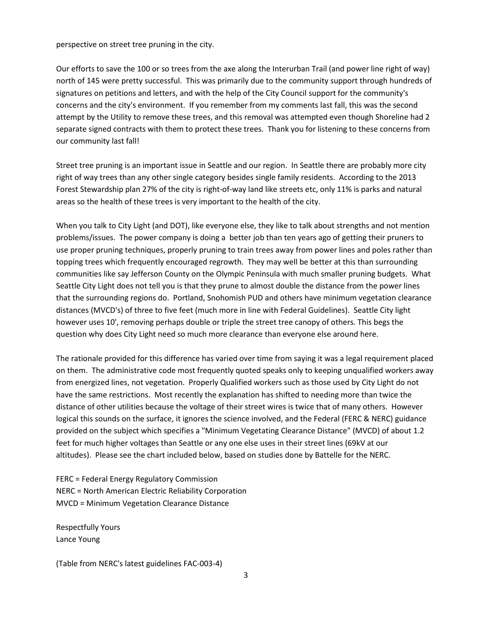perspective on street tree pruning in the city.

Our efforts to save the 100 or so trees from the axe along the Interurban Trail (and power line right of way) north of 145 were pretty successful. This was primarily due to the community support through hundreds of signatures on petitions and letters, and with the help of the City Council support for the community's concerns and the city's environment. If you remember from my comments last fall, this was the second attempt by the Utility to remove these trees, and this removal was attempted even though Shoreline had 2 separate signed contracts with them to protect these trees. Thank you for listening to these concerns from our community last fall!

Street tree pruning is an important issue in Seattle and our region. In Seattle there are probably more city right of way trees than any other single category besides single family residents. According to the 2013 Forest Stewardship plan 27% of the city is right-of-way land like streets etc, only 11% is parks and natural areas so the health of these trees is very important to the health of the city.

When you talk to City Light (and DOT), like everyone else, they like to talk about strengths and not mention problems/issues. The power company is doing a better job than ten years ago of getting their pruners to use proper pruning techniques, properly pruning to train trees away from power lines and poles rather than topping trees which frequently encouraged regrowth. They may well be better at this than surrounding communities like say Jefferson County on the Olympic Peninsula with much smaller pruning budgets. What Seattle City Light does not tell you is that they prune to almost double the distance from the power lines that the surrounding regions do. Portland, Snohomish PUD and others have minimum vegetation clearance distances (MVCD's) of three to five feet (much more in line with Federal Guidelines). Seattle City light however uses 10', removing perhaps double or triple the street tree canopy of others. This begs the question why does City Light need so much more clearance than everyone else around here.

The rationale provided for this difference has varied over time from saying it was a legal requirement placed on them. The administrative code most frequently quoted speaks only to keeping unqualified workers away from energized lines, not vegetation. Properly Qualified workers such as those used by City Light do not have the same restrictions. Most recently the explanation has shifted to needing more than twice the distance of other utilities because the voltage of their street wires is twice that of many others. However logical this sounds on the surface, it ignores the science involved, and the Federal (FERC & NERC) guidance provided on the subject which specifies a "Minimum Vegetating Clearance Distance" (MVCD) of about 1.2 feet for much higher voltages than Seattle or any one else uses in their street lines (69kV at our altitudes). Please see the chart included below, based on studies done by Battelle for the NERC.

FERC = Federal Energy Regulatory Commission NERC = North American Electric Reliability Corporation MVCD = Minimum Vegetation Clearance Distance

Respectfully Yours Lance Young

(Table from NERC's latest guidelines FAC-003-4)